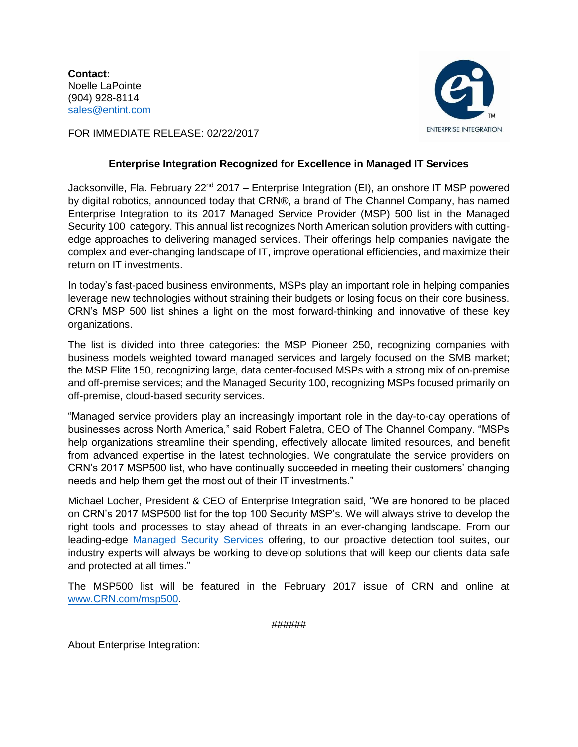**Contact:** Noelle LaPointe (904) 928-8114 [sales@entint.com](mailto:sales@entint.com)



FOR IMMEDIATE RELEASE: 02/22/2017

## **Enterprise Integration Recognized for Excellence in Managed IT Services**

Jacksonville, Fla. February 22<sup>nd</sup> 2017 – Enterprise Integration (EI), an onshore IT MSP powered by digital robotics, announced today that CRN®, a brand of The Channel Company, has named Enterprise Integration to its 2017 Managed Service Provider (MSP) 500 list in the Managed Security 100 category. This annual list recognizes North American solution providers with cuttingedge approaches to delivering managed services. Their offerings help companies navigate the complex and ever-changing landscape of IT, improve operational efficiencies, and maximize their return on IT investments.

In today's fast-paced business environments, MSPs play an important role in helping companies leverage new technologies without straining their budgets or losing focus on their core business. CRN's MSP 500 list shines a light on the most forward-thinking and innovative of these key organizations.

The list is divided into three categories: the MSP Pioneer 250, recognizing companies with business models weighted toward managed services and largely focused on the SMB market; the MSP Elite 150, recognizing large, data center-focused MSPs with a strong mix of on-premise and off-premise services; and the Managed Security 100, recognizing MSPs focused primarily on off-premise, cloud-based security services.

"Managed service providers play an increasingly important role in the day-to-day operations of businesses across North America," said Robert Faletra, CEO of The Channel Company. "MSPs help organizations streamline their spending, effectively allocate limited resources, and benefit from advanced expertise in the latest technologies. We congratulate the service providers on CRN's 2017 MSP500 list, who have continually succeeded in meeting their customers' changing needs and help them get the most out of their IT investments."

Michael Locher, President & CEO of Enterprise Integration said, "We are honored to be placed on CRN's 2017 MSP500 list for the top 100 Security MSP's. We will always strive to develop the right tools and processes to stay ahead of threats in an ever-changing landscape. From our leading-edge [Managed Security Services](http://entint.com/services-solutions/security-services/) offering, to our proactive detection tool suites, our industry experts will always be working to develop solutions that will keep our clients data safe and protected at all times."

The MSP500 list will be featured in the February 2017 issue of CRN and online at [www.CRN.com/msp500.](http://www.crn.com/msp500)

######

About Enterprise Integration: